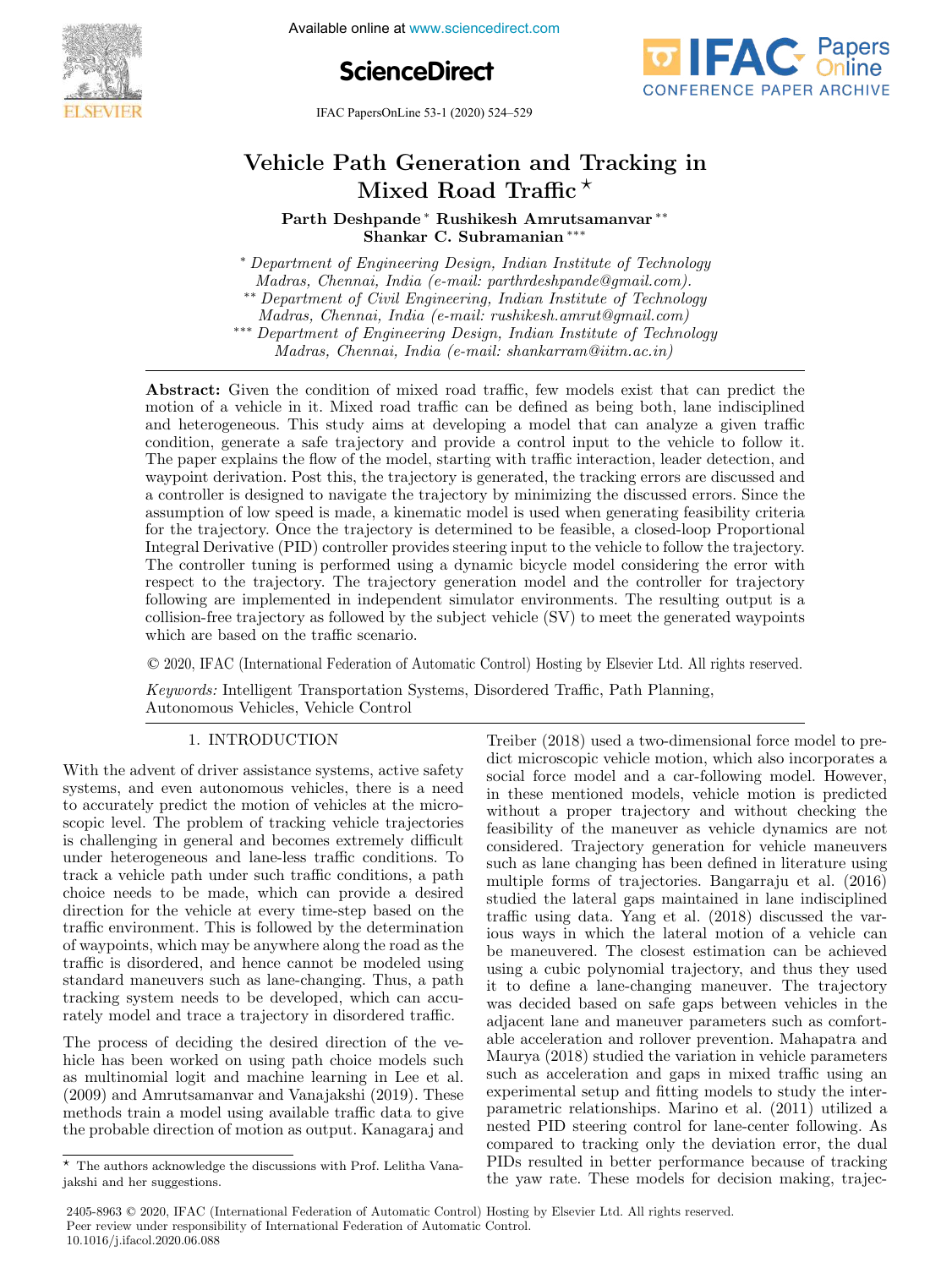

Available online at www.sciencedirect.com

**ScienceDirect**



IFAC PapersOnLine 53-1 (2020) 524–529

# Vehicle Path Generation and Tracking in Mixed Road Traffic<sup> $\star$ </sup>

Parth Deshpande <sup>∗</sup> Rushikesh Amrutsamanvar ∗∗ Shankar C. Subramanian ∗∗∗

<sup>∗</sup> Department of Engineering Design, Indian Institute of Technology Madras, Chennai, India (e-mail: parthrdeshpande@gmail.com). ∗∗ Department of Civil Engineering, Indian Institute of Technology Madras, Chennai, India (e-mail: rushikesh.amrut@gmail.com) ∗∗∗ Department of Engineering Design, Indian Institute of Technology

Madras, Chennai, India (e-mail: shankarram@iitm.ac.in)

Abstract: Given the condition of mixed road traffic, few models exist that can predict the motion of a vehicle in it. Mixed road traffic can be defined as being both, lane indisciplined and heterogeneous. This study aims at developing a model that can analyze a given traffic condition, generate a safe trajectory and provide a control input to the vehicle to follow it. The paper explains the flow of the model, starting with traffic interaction, leader detection, and waypoint derivation. Post this, the trajectory is generated, the tracking errors are discussed and a controller is designed to navigate the trajectory by minimizing the discussed errors. Since the assumption of low speed is made, a kinematic model is used when generating feasibility criteria for the trajectory. Once the trajectory is determined to be feasible, a closed-loop Proportional Integral Derivative (PID) controller provides steering input to the vehicle to follow the trajectory. The controller tuning is performed using a dynamic bicycle model considering the error with respect to the trajectory. The trajectory generation model and the controller for trajectory following are implemented in independent simulator environments. The resulting output is a collision-free trajectory as followed by the subject vehicle (SV) to meet the generated waypoints which are based on the traffic scenario.

© 2020, IFAC (International Federation of Automatic Control) Hosting by Elsevier Ltd. All rights reserved.

Keywords: Intelligent Transportation Systems, Disordered Traffic, Path Planning, Autonomous Vehicles, Vehicle Control

With the advent of driver assistance systems, active safety systems, and even autonomous vehicles, there is a need to accurately predict the motion of vehicles at the microscopic level. The problem of tracking vehicle trajectories is challenging in general and becomes extremely difficult under heterogeneous and lane-less traffic conditions. To track a vehicle path under such traffic conditions, a path choice needs to be made, which can provide a desired direction for the vehicle at every time-step based on the traffic environment. This is followed by the determination of waypoints, which may be anywhere along the road as the traffic is disordered, and hence cannot be modeled using standard maneuvers such as lane-changing. Thus, a path tracking system needs to be developed, which can accurately model and trace a trajectory in disordered traffic.

The process of deciding the desired direction of the vehicle has been worked on using path choice models such as multinomial logit and machine learning in Lee et al. (2009) and Amrutsamanvar and Vanajakshi (2019). These methods train a model using available traffic data to give the probable direction of motion as output. Kanagaraj and

1. INTRODUCTION Treiber (2018) used a two-dimensional force model to predict microscopic vehicle motion, which also incorporates a social force model and a car-following model. However, in these mentioned models, vehicle motion is predicted without a proper trajectory and without checking the feasibility of the maneuver as vehicle dynamics are not considered. Trajectory generation for vehicle maneuvers such as lane changing has been defined in literature using multiple forms of trajectories. Bangarraju et al. (2016) studied the lateral gaps maintained in lane indisciplined traffic using data. Yang et al. (2018) discussed the various ways in which the lateral motion of a vehicle can be maneuvered. The closest estimation can be achieved using a cubic polynomial trajectory, and thus they used it to define a lane-changing maneuver. The trajectory was decided based on safe gaps between vehicles in the adjacent lane and maneuver parameters such as comfortable acceleration and rollover prevention. Mahapatra and Maurya (2018) studied the variation in vehicle parameters such as acceleration and gaps in mixed traffic using an experimental setup and fitting models to study the interparametric relationships. Marino et al. (2011) utilized a nested PID steering control for lane-center following. As compared to tracking only the deviation error, the dual PIDs resulted in better performance because of tracking the yaw rate. These models for decision making, trajec-

 $^\star\,$  The authors acknowledge the discussions with Prof. Lelitha Vanajakshi and her suggestions.

<sup>2405-8963</sup> © 2020, IFAC (International Federation of Automatic Control) Hosting by Elsevier Ltd. All rights reserved. Peer review under responsibility of International Federation of Automatic Control. 10.1016/j.ifacol.2020.06.088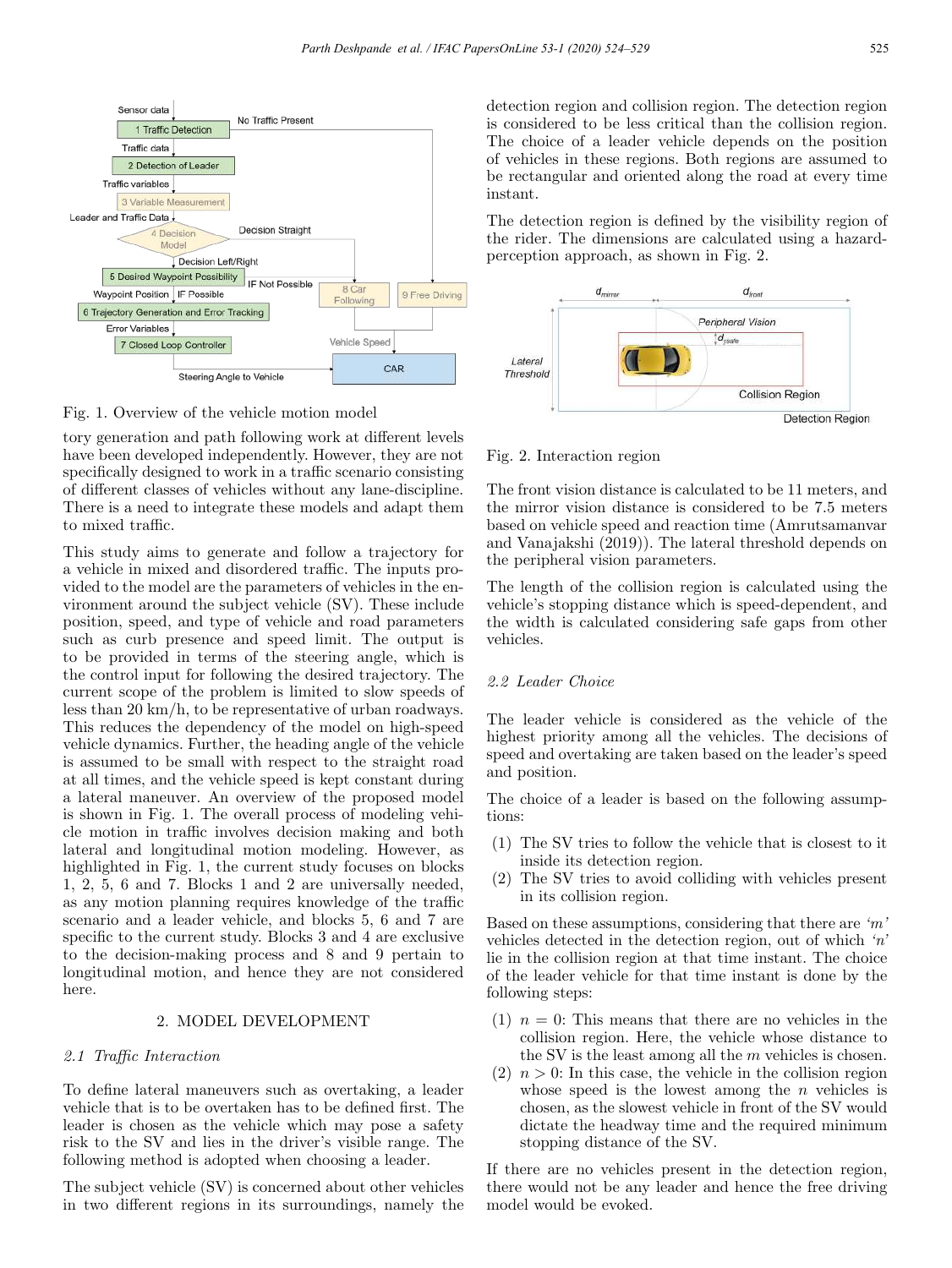

Fig. 1. Overview of the vehicle motion model

tory generation and path following work at different levels have been developed independently. However, they are not specifically designed to work in a traffic scenario consisting of different classes of vehicles without any lane-discipline. There is a need to integrate these models and adapt them to mixed traffic.

This study aims to generate and follow a trajectory for a vehicle in mixed and disordered traffic. The inputs provided to the model are the parameters of vehicles in the environment around the subject vehicle (SV). These include position, speed, and type of vehicle and road parameters such as curb presence and speed limit. The output is to be provided in terms of the steering angle, which is the control input for following the desired trajectory. The current scope of the problem is limited to slow speeds of less than 20 km/h, to be representative of urban roadways. This reduces the dependency of the model on high-speed vehicle dynamics. Further, the heading angle of the vehicle is assumed to be small with respect to the straight road at all times, and the vehicle speed is kept constant during a lateral maneuver. An overview of the proposed model is shown in Fig. 1. The overall process of modeling vehicle motion in traffic involves decision making and both lateral and longitudinal motion modeling. However, as highlighted in Fig. 1, the current study focuses on blocks 1, 2, 5, 6 and 7. Blocks 1 and 2 are universally needed, as any motion planning requires knowledge of the traffic scenario and a leader vehicle, and blocks 5, 6 and 7 are specific to the current study. Blocks 3 and 4 are exclusive to the decision-making process and 8 and 9 pertain to longitudinal motion, and hence they are not considered here.

#### 2. MODEL DEVELOPMENT

#### 2.1 Traffic Interaction

To define lateral maneuvers such as overtaking, a leader vehicle that is to be overtaken has to be defined first. The leader is chosen as the vehicle which may pose a safety risk to the SV and lies in the driver's visible range. The following method is adopted when choosing a leader.

The subject vehicle (SV) is concerned about other vehicles in two different regions in its surroundings, namely the detection region and collision region. The detection region is considered to be less critical than the collision region. The choice of a leader vehicle depends on the position of vehicles in these regions. Both regions are assumed to be rectangular and oriented along the road at every time instant.

The detection region is defined by the visibility region of the rider. The dimensions are calculated using a hazardperception approach, as shown in Fig. 2.



#### Fig. 2. Interaction region

The front vision distance is calculated to be 11 meters, and the mirror vision distance is considered to be 7.5 meters based on vehicle speed and reaction time (Amrutsamanvar and Vanajakshi (2019)). The lateral threshold depends on the peripheral vision parameters.

The length of the collision region is calculated using the vehicle's stopping distance which is speed-dependent, and the width is calculated considering safe gaps from other vehicles.

# 2.2 Leader Choice

The leader vehicle is considered as the vehicle of the highest priority among all the vehicles. The decisions of speed and overtaking are taken based on the leader's speed and position.

The choice of a leader is based on the following assumptions:

- (1) The SV tries to follow the vehicle that is closest to it inside its detection region.
- (2) The SV tries to avoid colliding with vehicles present in its collision region.

Based on these assumptions, considering that there are 'm' vehicles detected in the detection region, out of which 'n' lie in the collision region at that time instant. The choice of the leader vehicle for that time instant is done by the following steps:

- (1)  $n = 0$ : This means that there are no vehicles in the collision region. Here, the vehicle whose distance to the SV is the least among all the  $m$  vehicles is chosen.
- $(2)$   $n > 0$ : In this case, the vehicle in the collision region whose speed is the lowest among the  $n$  vehicles is chosen, as the slowest vehicle in front of the SV would dictate the headway time and the required minimum stopping distance of the SV.

If there are no vehicles present in the detection region, there would not be any leader and hence the free driving model would be evoked.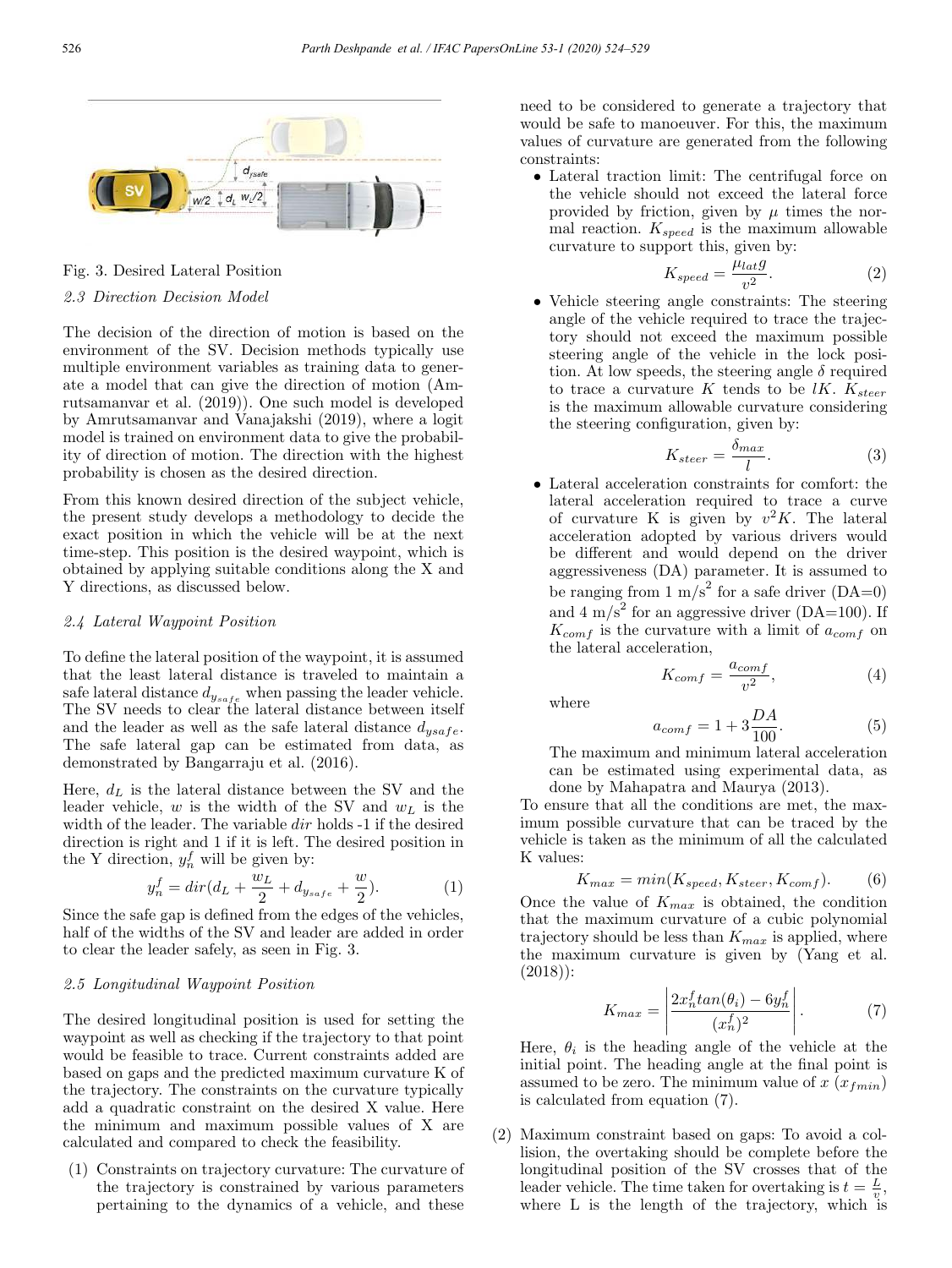

Fig. 3. Desired Lateral Position

### 2.3 Direction Decision Model

The decision of the direction of motion is based on the environment of the SV. Decision methods typically use multiple environment variables as training data to generate a model that can give the direction of motion (Amrutsamanvar et al. (2019)). One such model is developed by Amrutsamanvar and Vanajakshi (2019), where a logit model is trained on environment data to give the probability of direction of motion. The direction with the highest probability is chosen as the desired direction.

From this known desired direction of the subject vehicle, the present study develops a methodology to decide the exact position in which the vehicle will be at the next time-step. This position is the desired waypoint, which is obtained by applying suitable conditions along the X and Y directions, as discussed below.

#### 2.4 Lateral Waypoint Position

To define the lateral position of the waypoint, it is assumed that the least lateral distance is traveled to maintain a safe lateral distance  $d_{y_{safe}}$  when passing the leader vehicle. The SV needs to clear the lateral distance between itself and the leader as well as the safe lateral distance  $d_{ysafe}$ . The safe lateral gap can be estimated from data, as demonstrated by Bangarraju et al. (2016).

Here,  $d_L$  is the lateral distance between the SV and the leader vehicle, w is the width of the SV and  $w<sub>L</sub>$  is the width of the leader. The variable dir holds -1 if the desired direction is right and 1 if it is left. The desired position in the Y direction,  $y_n^f$  will be given by:

$$
y_n^f = dir(d_L + \frac{w_L}{2} + d_{y_{safe}} + \frac{w}{2}).
$$
 (1)

Since the safe gap is defined from the edges of the vehicles, half of the widths of the SV and leader are added in order to clear the leader safely, as seen in Fig. 3.

#### 2.5 Longitudinal Waypoint Position

The desired longitudinal position is used for setting the waypoint as well as checking if the trajectory to that point would be feasible to trace. Current constraints added are based on gaps and the predicted maximum curvature K of the trajectory. The constraints on the curvature typically add a quadratic constraint on the desired X value. Here the minimum and maximum possible values of X are calculated and compared to check the feasibility.

(1) Constraints on trajectory curvature: The curvature of the trajectory is constrained by various parameters pertaining to the dynamics of a vehicle, and these need to be considered to generate a trajectory that would be safe to manoeuver. For this, the maximum values of curvature are generated from the following constraints:

• Lateral traction limit: The centrifugal force on the vehicle should not exceed the lateral force provided by friction, given by  $\mu$  times the normal reaction.  $K_{speed}$  is the maximum allowable curvature to support this, given by:

$$
K_{speed} = \frac{\mu_{lat}g}{v^2}.
$$
 (2)

• Vehicle steering angle constraints: The steering angle of the vehicle required to trace the trajectory should not exceed the maximum possible steering angle of the vehicle in the lock position. At low speeds, the steering angle  $\delta$  required to trace a curvature  $K$  tends to be  $lK$ .  $K_{steer}$ is the maximum allowable curvature considering the steering configuration, given by:

$$
K_{steer} = \frac{\delta_{max}}{l}.
$$
 (3)

• Lateral acceleration constraints for comfort: the lateral acceleration required to trace a curve of curvature K is given by  $v^2K$ . The lateral acceleration adopted by various drivers would be different and would depend on the driver aggressiveness (DA) parameter. It is assumed to be ranging from  $1 \text{ m/s}^2$  for a safe driver (DA=0) and 4 m/s<sup>2</sup> for an aggressive driver (DA=100). If  $K_{comf}$  is the curvature with a limit of  $a_{comf}$  on the lateral acceleration,

$$
K_{comf} = \frac{a_{comf}}{v^2},\tag{4}
$$

where

$$
a_{comf} = 1 + 3\frac{DA}{100}.\t\t(5)
$$

The maximum and minimum lateral acceleration can be estimated using experimental data, as done by Mahapatra and Maurya (2013).

To ensure that all the conditions are met, the maximum possible curvature that can be traced by the vehicle is taken as the minimum of all the calculated K values:

$$
K_{max} = min(K_{speed}, K_{steer}, K_{comf}).
$$
 (6)

Once the value of  $K_{max}$  is obtained, the condition that the maximum curvature of a cubic polynomial trajectory should be less than  $K_{max}$  is applied, where the maximum curvature is given by (Yang et al. (2018)):

$$
K_{max} = \left| \frac{2x_n^f \tan(\theta_i) - 6y_n^f}{(x_n^f)^2} \right|.
$$
 (7)

Here,  $\theta_i$  is the heading angle of the vehicle at the initial point. The heading angle at the final point is assumed to be zero. The minimum value of  $x(x_{fmin})$ is calculated from equation (7).

(2) Maximum constraint based on gaps: To avoid a collision, the overtaking should be complete before the longitudinal position of the SV crosses that of the leader vehicle. The time taken for overtaking is  $t = \frac{L}{v}$ , where L is the length of the trajectory, which is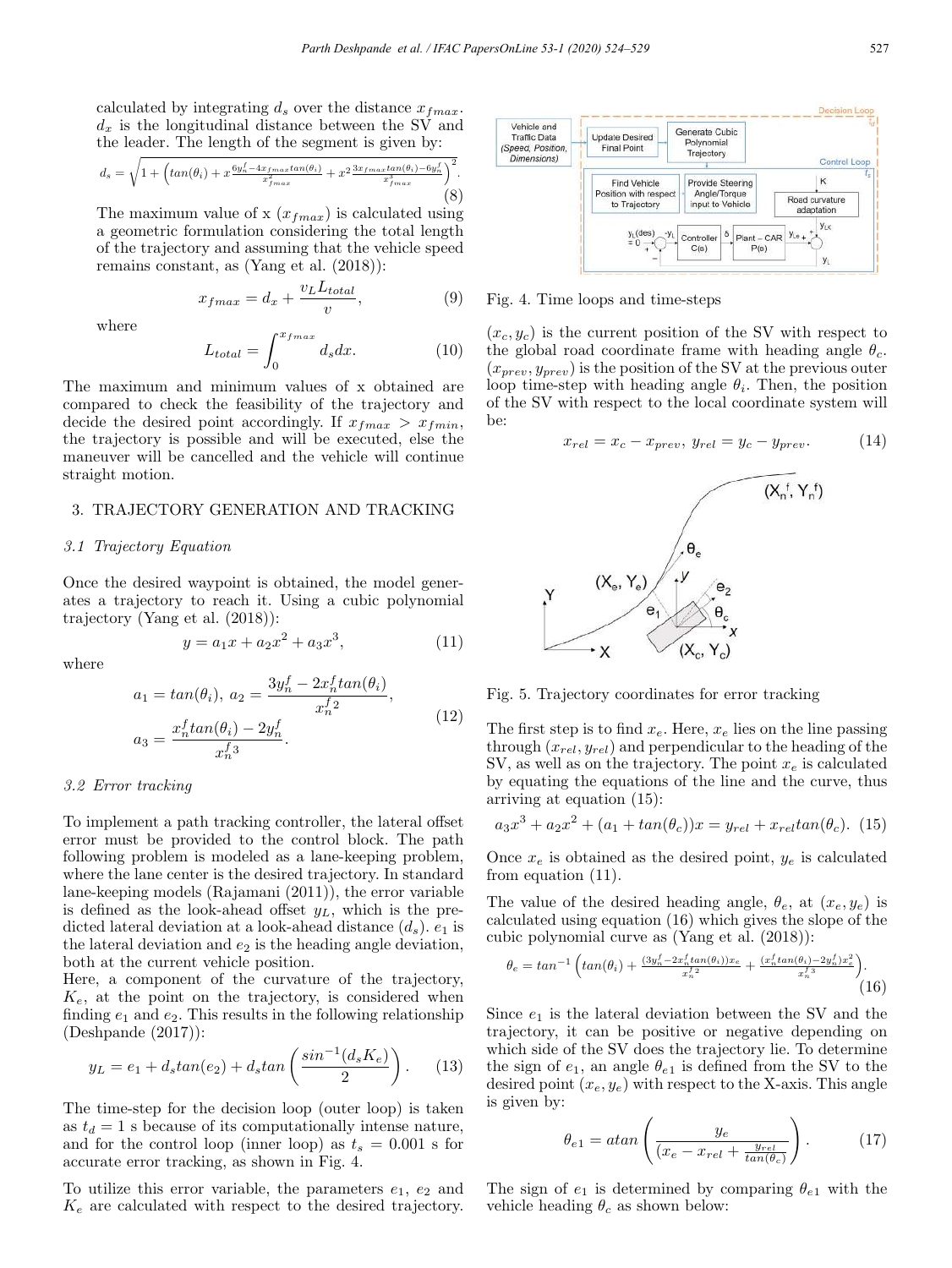calculated by integrating  $d_s$  over the distance  $x_{fmax}$ .  $d_x$  is the longitudinal distance between the SV and the leader. The length of the segment is given by:

$$
d_s = \sqrt{1 + \left( \tan(\theta_i) + x \frac{6y_n^f - 4x_{fmax} \tan(\theta_i)}{x_{fmax}^2} + x^2 \frac{3x_{fmax} \tan(\theta_i) - 6y_n^f}{x_{fmax}^3} \right)^2}.
$$
\n(8)

The maximum value of x  $(x_{fmax})$  is calculated using a geometric formulation considering the total length of the trajectory and assuming that the vehicle speed remains constant, as (Yang et al. (2018)):

$$
x_{fmax} = d_x + \frac{v_L L_{total}}{v},\tag{9}
$$

where

$$
L_{total} = \int_{0}^{x_{fmax}} d_s dx.
$$
 (10)

The maximum and minimum values of x obtained are compared to check the feasibility of the trajectory and decide the desired point accordingly. If  $x_{fmax} > x_{fmin}$ , the trajectory is possible and will be executed, else the maneuver will be cancelled and the vehicle will continue straight motion.

### 3. TRAJECTORY GENERATION AND TRACKING

#### 3.1 Trajectory Equation

Once the desired waypoint is obtained, the model generates a trajectory to reach it. Using a cubic polynomial trajectory (Yang et al. (2018)):

$$
y = a_1 x + a_2 x^2 + a_3 x^3, \tag{11}
$$

where

$$
a_1 = \tan(\theta_i), \ a_2 = \frac{3y_n^f - 2x_n^f \tan(\theta_i)}{x_n^f} ,
$$

$$
a_3 = \frac{x_n^f \tan(\theta_i) - 2y_n^f}{x_n^f} .
$$
(12)

#### 3.2 Error tracking

To implement a path tracking controller, the lateral offset error must be provided to the control block. The path following problem is modeled as a lane-keeping problem, where the lane center is the desired trajectory. In standard lane-keeping models (Rajamani (2011)), the error variable is defined as the look-ahead offset  $y_L$ , which is the predicted lateral deviation at a look-ahead distance  $(d_s)$ .  $e_1$  is the lateral deviation and  $e_2$  is the heading angle deviation, both at the current vehicle position.

Here, a component of the curvature of the trajectory,  $K_e$ , at the point on the trajectory, is considered when finding  $e_1$  and  $e_2$ . This results in the following relationship (Deshpande (2017)):

$$
y_L = e_1 + d_s \tan(e_2) + d_s \tan\left(\frac{\sin^{-1}(d_s K_e)}{2}\right). \tag{13}
$$

The time-step for the decision loop (outer loop) is taken as  $t_d = 1$  s because of its computationally intense nature, and for the control loop (inner loop) as  $t_s = 0.001$  s for accurate error tracking, as shown in Fig. 4.

To utilize this error variable, the parameters  $e_1, e_2$  and  $K_e$  are calculated with respect to the desired trajectory.



Fig. 4. Time loops and time-steps

 $(x_c, y_c)$  is the current position of the SV with respect to the global road coordinate frame with heading angle  $\theta_c$ .  $(x_{prev}, y_{prev})$  is the position of the SV at the previous outer loop time-step with heading angle  $\theta_i$ . Then, the position of the SV with respect to the local coordinate system will be:

$$
x_{rel} = x_c - x_{prev}, \ y_{rel} = y_c - y_{prev}.
$$
 (14)



Fig. 5. Trajectory coordinates for error tracking

The first step is to find  $x_e$ . Here,  $x_e$  lies on the line passing through  $(x_{rel}, y_{rel})$  and perpendicular to the heading of the SV, as well as on the trajectory. The point  $x_e$  is calculated by equating the equations of the line and the curve, thus arriving at equation (15):

$$
a_3x^3 + a_2x^2 + (a_1 + \tan(\theta_c))x = y_{rel} + x_{rel} \tan(\theta_c). \tag{15}
$$

Once  $x_e$  is obtained as the desired point,  $y_e$  is calculated from equation (11).

The value of the desired heading angle,  $\theta_e$ , at  $(x_e, y_e)$  is calculated using equation (16) which gives the slope of the cubic polynomial curve as (Yang et al. (2018)):

$$
\theta_e = \tan^{-1} \left( \tan(\theta_i) + \frac{(3y_n^f - 2x_n^f \tan(\theta_i))x_e}{x_n^f} + \frac{(x_n^f \tan(\theta_i) - 2y_n^f)x_e^2}{x_n^f} \right). \tag{16}
$$

Since  $e_1$  is the lateral deviation between the SV and the trajectory, it can be positive or negative depending on which side of the SV does the trajectory lie. To determine the sign of  $e_1$ , an angle  $\theta_{e_1}$  is defined from the SV to the desired point  $(x_e, y_e)$  with respect to the X-axis. This angle is given by:

$$
\theta_{e1} = \text{atan}\left(\frac{y_e}{(x_e - x_{rel} + \frac{y_{rel}}{\tan(\theta_c)})}\right). \tag{17}
$$

The sign of  $e_1$  is determined by comparing  $\theta_{e_1}$  with the vehicle heading  $\theta_c$  as shown below: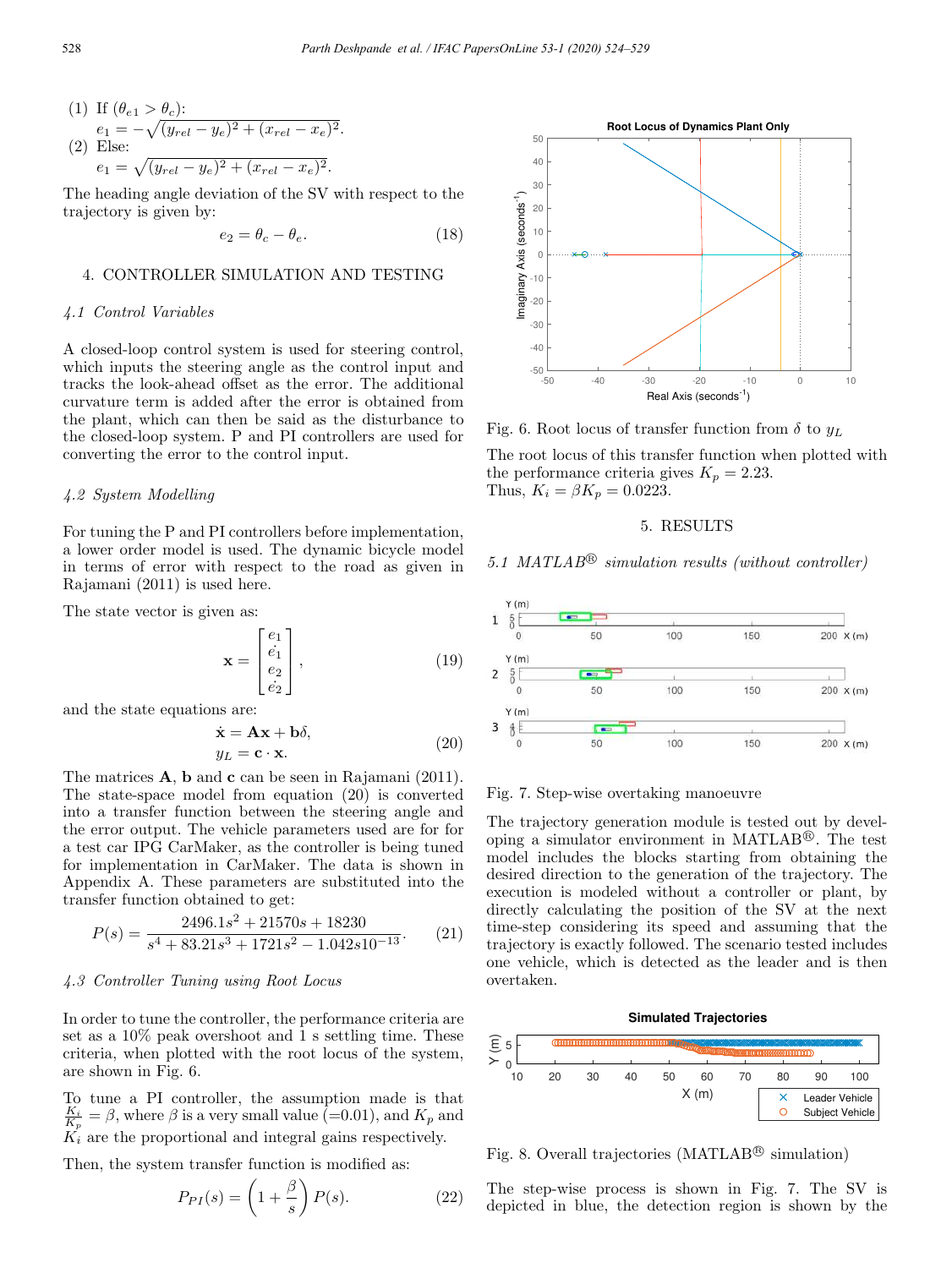(1) If 
$$
(\theta_{e1} > \theta_c)
$$
:  
\n $e_1 = -\sqrt{(y_{rel} - y_e)^2 + (x_{rel} - x_e)^2}$ .  
\n(2) Else:  
\n $e_1 = \sqrt{(y_{rel} - y_e)^2 + (x_{rel} - x_e)^2}$ .

The heading angle deviation of the SV with respect to the trajectory is given by:

$$
e_2 = \theta_c - \theta_e. \tag{18}
$$

#### 4. CONTROLLER SIMULATION AND TESTING

# 4.1 Control Variables

A closed-loop control system is used for steering control, which inputs the steering angle as the control input and tracks the look-ahead offset as the error. The additional curvature term is added after the error is obtained from the plant, which can then be said as the disturbance to the closed-loop system. P and PI controllers are used for converting the error to the control input.

# 4.2 System Modelling

For tuning the P and PI controllers before implementation, a lower order model is used. The dynamic bicycle model in terms of error with respect to the road as given in Rajamani (2011) is used here.

The state vector is given as:

$$
\mathbf{x} = \begin{bmatrix} e_1 \\ \dot{e}_1 \\ e_2 \\ \dot{e}_2 \end{bmatrix},
$$
(19)

and the state equations are:

$$
\dot{\mathbf{x}} = \mathbf{A}\mathbf{x} + \mathbf{b}\delta, \ny_L = \mathbf{c} \cdot \mathbf{x}.
$$
\n(20)

The matrices  $\bf{A}$ ,  $\bf{b}$  and  $\bf{c}$  can be seen in Rajamani (2011). The state-space model from equation (20) is converted into a transfer function between the steering angle and the error output. The vehicle parameters used are for for a test car IPG CarMaker, as the controller is being tuned for implementation in CarMaker. The data is shown in Appendix A. These parameters are substituted into the transfer function obtained to get:

$$
P(s) = \frac{2496.1s^2 + 21570s + 18230}{s^4 + 83.21s^3 + 1721s^2 - 1.042s10^{-13}}.
$$
 (21)

# 4.3 Controller Tuning using Root Locus

In order to tune the controller, the performance criteria are set as a 10% peak overshoot and 1 s settling time. These criteria, when plotted with the root locus of the system, are shown in Fig. 6.

To tune a PI controller, the assumption made is that  $\frac{K_i}{K_p} = \beta$ , where  $\beta$  is a very small value (=0.01), and  $K_p$  and  $K_i$  are the proportional and integral gains respectively.

Then, the system transfer function is modified as:

$$
P_{PI}(s) = \left(1 + \frac{\beta}{s}\right)P(s).
$$
 (22)



Fig. 6. Root locus of transfer function from  $\delta$  to  $y_L$ 

The root locus of this transfer function when plotted with the performance criteria gives  $K_p = 2.23$ . Thus,  $K_i = \beta K_p = 0.0223$ .

#### 5. RESULTS

5.1 MATLAB<sup>®</sup> simulation results (without controller)



Fig. 7. Step-wise overtaking manoeuvre

The trajectory generation module is tested out by developing a simulator environment in MATLAB<sup>®</sup>. The test model includes the blocks starting from obtaining the desired direction to the generation of the trajectory. The execution is modeled without a controller or plant, by directly calculating the position of the SV at the next time-step considering its speed and assuming that the trajectory is exactly followed. The scenario tested includes one vehicle, which is detected as the leader and is then overtaken.



Fig. 8. Overall trajectories (MATLAB<sup>®</sup> simulation)

The step-wise process is shown in Fig. 7. The SV is depicted in blue, the detection region is shown by the